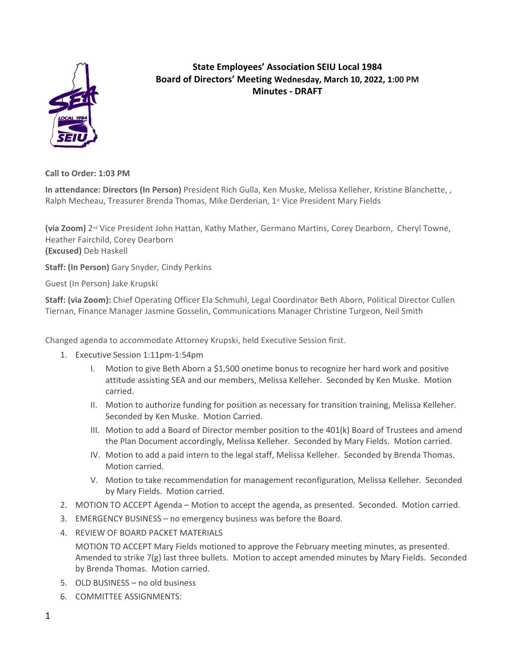

## **State Employees' Association SEIU Local 1984 Board of Directors' Meeting Wednesday, March 10, 2022, 1:00 PM Minutes - DRAFT**

**Call to Order: 1:03 PM**

**In attendance: Directors (In Person)** President Rich Gulla, Ken Muske, Melissa Kelleher, Kristine Blanchette, , Ralph Mecheau, Treasurer Brenda Thomas, Mike Derderian, 1st Vice President Mary Fields

**(via Zoom)** 2nd Vice President John Hattan, Kathy Mather, Germano Martins, Corey Dearborn, Cheryl Towne, Heather Fairchild, Corey Dearborn **(Excused)** Deb Haskell

**Staff: (In Person)** Gary Snyder, Cindy Perkins

Guest (In Person) Jake Krupski

**Staff: (via Zoom):** Chief Operating Officer Ela Schmuhl, Legal Coordinator Beth Aborn, Political Director Cullen Tiernan, Finance Manager Jasmine Gosselin, Communications Manager Christine Turgeon, Neil Smith

Changed agenda to accommodate Attorney Krupski, held Executive Session first.

- 1. Executive Session 1:11pm-1:54pm
	- I. Motion to give Beth Aborn a \$1,500 onetime bonus to recognize her hard work and positive attitude assisting SEA and our members, Melissa Kelleher. Seconded by Ken Muske. Motion carried.
	- II. Motion to authorize funding for position as necessary for transition training, Melissa Kelleher. Seconded by Ken Muske. Motion Carried.
	- III. Motion to add a Board of Director member position to the 401(k) Board of Trustees and amend the Plan Document accordingly, Melissa Kelleher. Seconded by Mary Fields. Motion carried.
	- IV. Motion to add a paid intern to the legal staff, Melissa Kelleher. Seconded by Brenda Thomas. Motion carried.
	- V. Motion to take recommendation for management reconfiguration, Melissa Kelleher. Seconded by Mary Fields. Motion carried.
- 2. MOTION TO ACCEPT Agenda Motion to accept the agenda, as presented. Seconded. Motion carried.
- 3. EMERGENCY BUSINESS no emergency business was before the Board.
- 4. REVIEW OF BOARD PACKET MATERIALS

MOTION TO ACCEPT Mary Fields motioned to approve the February meeting minutes, as presented. Amended to strike 7(g) last three bullets. Motion to accept amended minutes by Mary Fields. Seconded by Brenda Thomas. Motion carried.

- 5. OLD BUSINESS no old business
- 6. COMMITTEE ASSIGNMENTS: